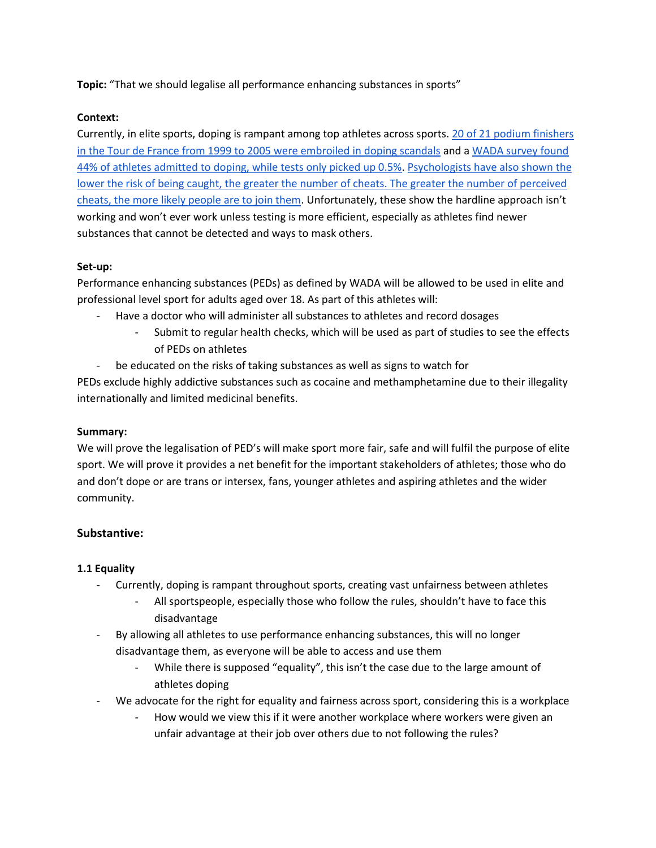**Topic:** "That we should legalise all performance enhancing substances in sports"

## **Context:**

Currently, in elite sports, doping is rampant among top athletes across sports. [20 of 21 podium finishers](https://www.usada.org/athletes/results/u-s-postal-service-pro-cycling-team-investigation/)  [in the Tour de France from 1999 to 2005 were embroiled in doping scandals](https://www.usada.org/athletes/results/u-s-postal-service-pro-cycling-team-investigation/) and [a WADA survey found](https://eprints.kingston.ac.uk/id/eprint/39337/1/Petroczi-A-39337-AAM.pdf)  [44% of athletes admitted to doping, while tests only picked up 0.5%.](https://eprints.kingston.ac.uk/id/eprint/39337/1/Petroczi-A-39337-AAM.pdf) [Psychologists have also shown the](https://theconversation.com/why-its-time-to-legalise-doping-in-athletics-46514)  [lower the risk of being caught, the greater the number of cheats. The greater the number of perceived](https://theconversation.com/why-its-time-to-legalise-doping-in-athletics-46514)  [cheats, the more likely people are to join them](https://theconversation.com/why-its-time-to-legalise-doping-in-athletics-46514). Unfortunately, these show the hardline approach isn't working and won't ever work unless testing is more efficient, especially as athletes find newer substances that cannot be detected and ways to mask others.

#### **Set-up:**

Performance enhancing substances (PEDs) as defined by WADA will be allowed to be used in elite and professional level sport for adults aged over 18. As part of this athletes will:

- Have a doctor who will administer all substances to athletes and record dosages
	- Submit to regular health checks, which will be used as part of studies to see the effects of PEDs on athletes
- be educated on the risks of taking substances as well as signs to watch for

PEDs exclude highly addictive substances such as cocaine and methamphetamine due to their illegality internationally and limited medicinal benefits.

## **Summary:**

We will prove the legalisation of PED's will make sport more fair, safe and will fulfil the purpose of elite sport. We will prove it provides a net benefit for the important stakeholders of athletes; those who do and don't dope or are trans or intersex, fans, younger athletes and aspiring athletes and the wider community.

## **Substantive:**

## **1.1 Equality**

- Currently, doping is rampant throughout sports, creating vast unfairness between athletes
	- All sportspeople, especially those who follow the rules, shouldn't have to face this disadvantage
- By allowing all athletes to use performance enhancing substances, this will no longer disadvantage them, as everyone will be able to access and use them
	- While there is supposed "equality", this isn't the case due to the large amount of athletes doping
- We advocate for the right for equality and fairness across sport, considering this is a workplace
	- How would we view this if it were another workplace where workers were given an unfair advantage at their job over others due to not following the rules?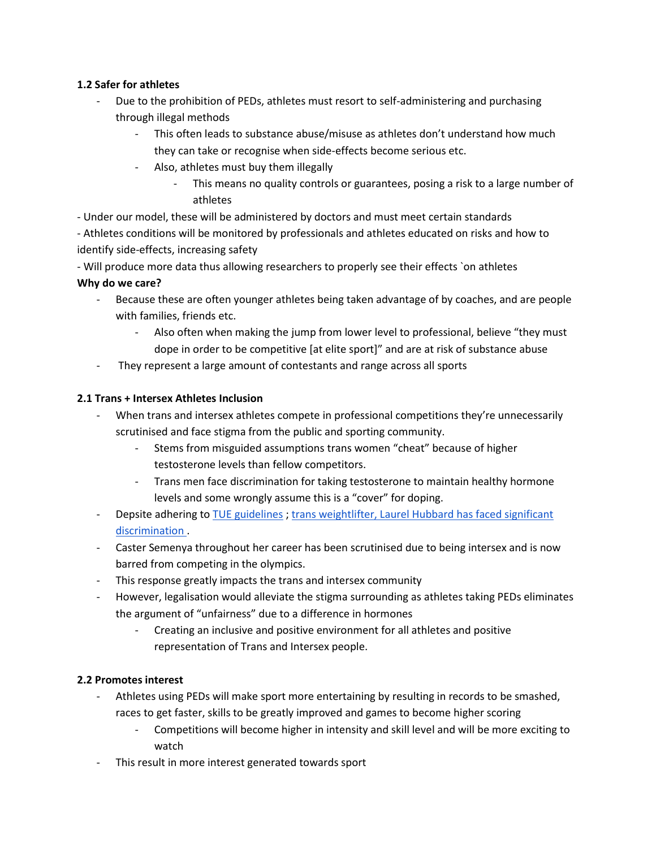#### **1.2 Safer for athletes**

- Due to the prohibition of PEDs, athletes must resort to self-administering and purchasing through illegal methods
	- This often leads to substance abuse/misuse as athletes don't understand how much they can take or recognise when side-effects become serious etc.
	- Also, athletes must buy them illegally
		- This means no quality controls or guarantees, posing a risk to a large number of athletes
- Under our model, these will be administered by doctors and must meet certain standards

- Athletes conditions will be monitored by professionals and athletes educated on risks and how to identify side-effects, increasing safety

- Will produce more data thus allowing researchers to properly see their effects `on athletes

#### **Why do we care?**

- Because these are often younger athletes being taken advantage of by coaches, and are people with families, friends etc.
	- Also often when making the jump from lower level to professional, believe "they must dope in order to be competitive [at elite sport]" and are at risk of substance abuse
- They represent a large amount of contestants and range across all sports

#### **2.1 Trans + Intersex Athletes Inclusion**

- When trans and intersex athletes compete in professional competitions they're unnecessarily scrutinised and face stigma from the public and sporting community.
	- Stems from misguided assumptions trans women "cheat" because of higher testosterone levels than fellow competitors.
	- Trans men face discrimination for taking testosterone to maintain healthy hormone levels and some wrongly assume this is a "cover" for doping.
- Depsite adhering t[o TUE guidelines](https://www.wada-ama.org/sites/default/files/resources/files/tuec_transgender_version1.0.pdf) ; [trans weightlifter, Laurel Hubbard has faced](https://theconversation.com/why-the-way-we-talk-about-olympian-laurel-hubbard-has-real-consequences-for-all-transgender-people-163418) significant [discrimination .](https://theconversation.com/why-the-way-we-talk-about-olympian-laurel-hubbard-has-real-consequences-for-all-transgender-people-163418)
- Caster Semenya throughout her career has been scrutinised due to being intersex and is now barred from competing in the olympics.
- This response greatly impacts the trans and intersex community
- However, legalisation would alleviate the stigma surrounding as athletes taking PEDs eliminates the argument of "unfairness" due to a difference in hormones
	- Creating an inclusive and positive environment for all athletes and positive representation of Trans and Intersex people.

## **2.2 Promotes interest**

- Athletes using PEDs will make sport more entertaining by resulting in records to be smashed, races to get faster, skills to be greatly improved and games to become higher scoring
	- Competitions will become higher in intensity and skill level and will be more exciting to watch
- This result in more interest generated towards sport